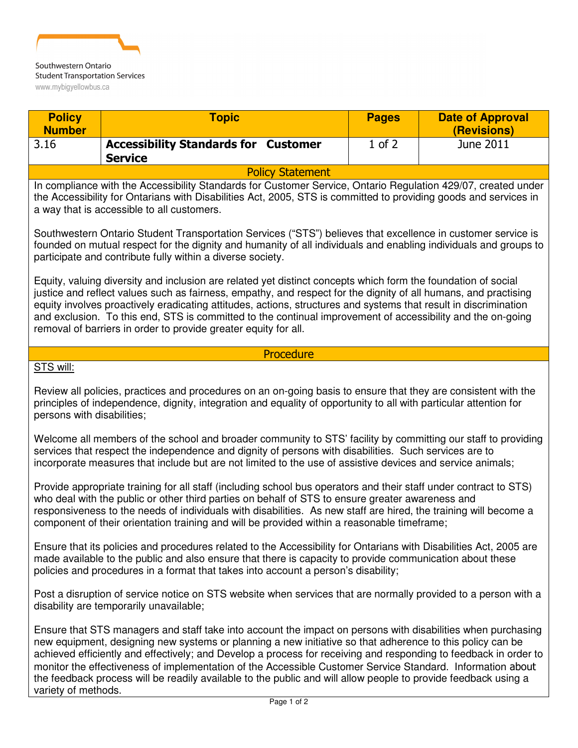

| <b>Policy</b><br><b>Number</b>                                                                                                                                                                                                                                                                                                                                                                                                                                                                                                                                                                       | <b>Topic</b>                                                  | <b>Pages</b> | <b>Date of Approval</b><br>(Revisions) |
|------------------------------------------------------------------------------------------------------------------------------------------------------------------------------------------------------------------------------------------------------------------------------------------------------------------------------------------------------------------------------------------------------------------------------------------------------------------------------------------------------------------------------------------------------------------------------------------------------|---------------------------------------------------------------|--------------|----------------------------------------|
| 3.16                                                                                                                                                                                                                                                                                                                                                                                                                                                                                                                                                                                                 | <b>Accessibility Standards for Customer</b><br><b>Service</b> | $1$ of $2$   | June 2011                              |
| <b>Policy Statement</b>                                                                                                                                                                                                                                                                                                                                                                                                                                                                                                                                                                              |                                                               |              |                                        |
| In compliance with the Accessibility Standards for Customer Service, Ontario Regulation 429/07, created under<br>the Accessibility for Ontarians with Disabilities Act, 2005, STS is committed to providing goods and services in<br>a way that is accessible to all customers.                                                                                                                                                                                                                                                                                                                      |                                                               |              |                                        |
| Southwestern Ontario Student Transportation Services ("STS") believes that excellence in customer service is<br>founded on mutual respect for the dignity and humanity of all individuals and enabling individuals and groups to<br>participate and contribute fully within a diverse society.                                                                                                                                                                                                                                                                                                       |                                                               |              |                                        |
| Equity, valuing diversity and inclusion are related yet distinct concepts which form the foundation of social<br>justice and reflect values such as fairness, empathy, and respect for the dignity of all humans, and practising<br>equity involves proactively eradicating attitudes, actions, structures and systems that result in discrimination<br>and exclusion. To this end, STS is committed to the continual improvement of accessibility and the on-going<br>removal of barriers in order to provide greater equity for all.                                                               |                                                               |              |                                        |
| Procedure                                                                                                                                                                                                                                                                                                                                                                                                                                                                                                                                                                                            |                                                               |              |                                        |
| STS will:                                                                                                                                                                                                                                                                                                                                                                                                                                                                                                                                                                                            |                                                               |              |                                        |
| Review all policies, practices and procedures on an on-going basis to ensure that they are consistent with the<br>principles of independence, dignity, integration and equality of opportunity to all with particular attention for<br>persons with disabilities;                                                                                                                                                                                                                                                                                                                                    |                                                               |              |                                        |
| Welcome all members of the school and broader community to STS' facility by committing our staff to providing<br>services that respect the independence and dignity of persons with disabilities. Such services are to<br>incorporate measures that include but are not limited to the use of assistive devices and service animals;                                                                                                                                                                                                                                                                 |                                                               |              |                                        |
| Provide appropriate training for all staff (including school bus operators and their staff under contract to STS)<br>who deal with the public or other third parties on behalf of STS to ensure greater awareness and<br>responsiveness to the needs of individuals with disabilities. As new staff are hired, the training will become a<br>component of their orientation training and will be provided within a reasonable timeframe;                                                                                                                                                             |                                                               |              |                                        |
| Ensure that its policies and procedures related to the Accessibility for Ontarians with Disabilities Act, 2005 are<br>made available to the public and also ensure that there is capacity to provide communication about these<br>policies and procedures in a format that takes into account a person's disability;                                                                                                                                                                                                                                                                                 |                                                               |              |                                        |
| Post a disruption of service notice on STS website when services that are normally provided to a person with a<br>disability are temporarily unavailable;                                                                                                                                                                                                                                                                                                                                                                                                                                            |                                                               |              |                                        |
| Ensure that STS managers and staff take into account the impact on persons with disabilities when purchasing<br>new equipment, designing new systems or planning a new initiative so that adherence to this policy can be<br>achieved efficiently and effectively; and Develop a process for receiving and responding to feedback in order to<br>monitor the effectiveness of implementation of the Accessible Customer Service Standard. Information about<br>the feedback process will be readily available to the public and will allow people to provide feedback using a<br>variety of methods. |                                                               |              |                                        |